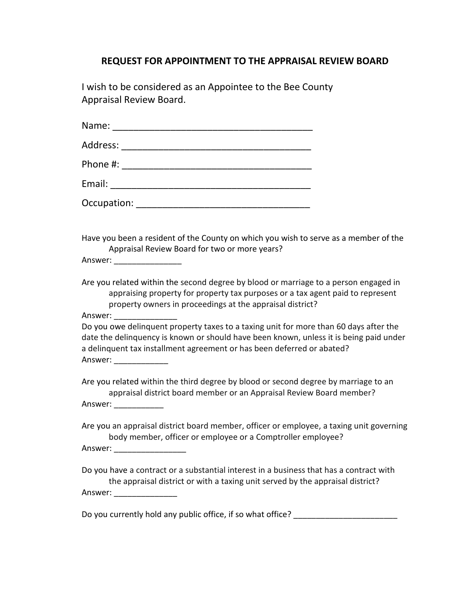## **REQUEST FOR APPOINTMENT TO THE APPRAISAL REVIEW BOARD**

I wish to be considered as an Appointee to the Bee County Appraisal Review Board.

| Have you been a resident of the County on which you wish to serve as a member of the<br>Appraisal Review Board for two or more years?<br>Answer: ___________________                                                                                                                 |
|--------------------------------------------------------------------------------------------------------------------------------------------------------------------------------------------------------------------------------------------------------------------------------------|
| Are you related within the second degree by blood or marriage to a person engaged in<br>appraising property for property tax purposes or a tax agent paid to represent<br>property owners in proceedings at the appraisal district?<br>Answer: _______________                       |
| Do you owe delinquent property taxes to a taxing unit for more than 60 days after the<br>date the delinquency is known or should have been known, unless it is being paid under<br>a delinquent tax installment agreement or has been deferred or abated?<br>Answer: _______________ |
| Are you related within the third degree by blood or second degree by marriage to an<br>appraisal district board member or an Appraisal Review Board member?<br>Answer: _______________                                                                                               |
| Are you an appraisal district board member, officer or employee, a taxing unit governing<br>body member, officer or employee or a Comptroller employee?<br>Answer: _____________________                                                                                             |
| Do you have a contract or a substantial interest in a business that has a contract with<br>the appraisal district or with a taxing unit served by the appraisal district?                                                                                                            |

Answer: \_\_\_\_\_\_\_\_\_\_\_\_\_\_

Do you currently hold any public office, if so what office? \_\_\_\_\_\_\_\_\_\_\_\_\_\_\_\_\_\_\_\_